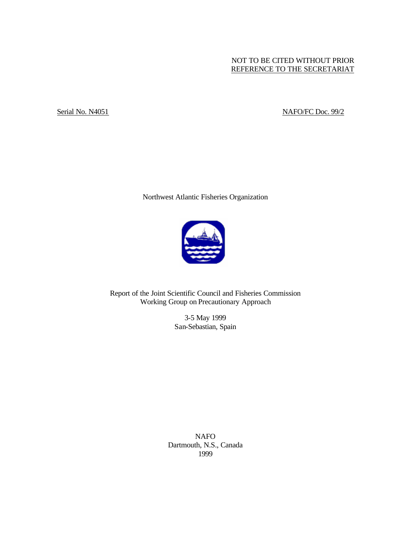# NOT TO BE CITED WITHOUT PRIOR REFERENCE TO THE SECRETARIAT

# Serial No. N4051 NAFO/FC Doc. 99/2

Northwest Atlantic Fisheries Organization



Report of the Joint Scientific Council and Fisheries Commission Working Group on Precautionary Approach

> 3-5 May 1999 San-Sebastian, Spain

NAFO Dartmouth, N.S., Canada 1999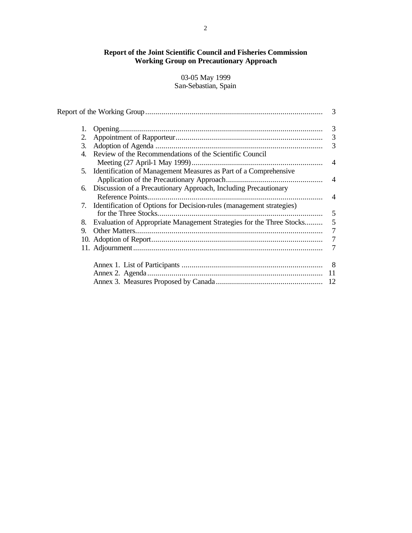# **Report of the Joint Scientific Council and Fisheries Commission Working Group on Precautionary Approach**

# 03-05 May 1999 San-Sebastian, Spain

|    |                                                                         | 3              |
|----|-------------------------------------------------------------------------|----------------|
| 1. |                                                                         |                |
| 2. |                                                                         | 3              |
| 3. |                                                                         | 3              |
| 4. | Review of the Recommendations of the Scientific Council                 |                |
|    |                                                                         |                |
|    | 5. Identification of Management Measures as Part of a Comprehensive     |                |
|    |                                                                         | $\overline{4}$ |
| 6. | Discussion of a Precautionary Approach, Including Precautionary         |                |
|    |                                                                         | $\overline{4}$ |
|    | 7. Identification of Options for Decision-rules (management strategies) |                |
|    |                                                                         | 5              |
| 8. | Evaluation of Appropriate Management Strategies for the Three Stocks    | 5              |
| 9. |                                                                         | 7              |
|    |                                                                         |                |
|    |                                                                         |                |
|    |                                                                         | - 8            |
|    |                                                                         | 11             |
|    |                                                                         | 12             |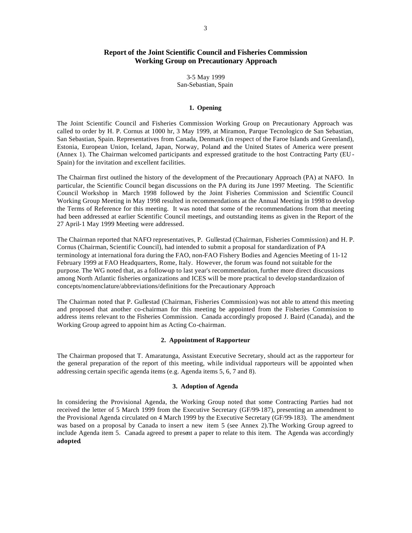# **Report of the Joint Scientific Council and Fisheries Commission Working Group on Precautionary Approach**

3-5 May 1999 San-Sebastian, Spain

### **1. Opening**

The Joint Scientific Council and Fisheries Commission Working Group on Precautionary Approach was called to order by H. P. Cornus at 1000 hr, 3 May 1999, at Miramon, Parque Tecnologico de San Sebastian, San Sebastian, Spain. Representatives from Canada, Denmark (in respect of the Faroe Islands and Greenland), Estonia, European Union, Iceland, Japan, Norway, Poland and the United States of America were present (Annex 1). The Chairman welcomed participants and expressed gratitude to the host Contracting Party (EU - Spain) for the invitation and excellent facilities.

The Chairman first outlined the history of the development of the Precautionary Approach (PA) at NAFO. In particular, the Scientific Council began discussions on the PA during its June 1997 Meeting. The Scientific Council Workshop in March 1998 followed by the Joint Fisheries Commission and Scientific Council Working Group Meeting in May 1998 resulted in recommendations at the Annual Meeting in 1998 to develop the Terms of Reference for this meeting. It was noted that some of the recommendations from that meeting had been addressed at earlier Scientific Council meetings, and outstanding items as given in the Report of the 27 April-1 May 1999 Meeting were addressed.

The Chairman reported that NAFO representatives, P. Gullestad (Chairman, Fisheries Commission) and H. P. Cornus (Chairman, Scientific Council), had intended to submit a proposal for standardization of PA terminology at international fora during the FAO, non-FAO Fishery Bodies and Agencies Meeting of 11-12 February 1999 at FAO Headquarters, Rome, Italy. However, the forum was found not suitable for the purpose. The WG noted that, as a follow-up to last year's recommendation, further more direct discussions among North Atlantic fisheries organizations and ICES will be more practical to develop standardizaion of concepts/nomenclature/abbreviations/definitions for the Precautionary Approach

The Chairman noted that P. Gullestad (Chairman, Fisheries Commission) was not able to attend this meeting and proposed that another co-chairman for this meeting be appointed from the Fisheries Commission to address items relevant to the Fisheries Commission. Canada accordingly proposed J. Baird (Canada), and the Working Group agreed to appoint him as Acting Co-chairman.

### **2. Appointment of Rapporteur**

The Chairman proposed that T. Amaratunga, Assistant Executive Secretary, should act as the rapporteur for the general preparation of the report of this meeting, while individual rapporteurs will be appointed when addressing certain specific agenda items (e.g. Agenda items 5, 6, 7 and 8).

### **3. Adoption of Agenda**

In considering the Provisional Agenda, the Working Group noted that some Contracting Parties had not received the letter of 5 March 1999 from the Executive Secretary (GF/99-187), presenting an amendment to the Provisional Agenda circulated on 4 March 1999 by the Executive Secretary (GF/99-183). The amendment was based on a proposal by Canada to insert a new item 5 (see Annex 2).The Working Group agreed to include Agenda item 5. Canada agreed to present a paper to relate to this item. The Agenda was accordingly **adopted**.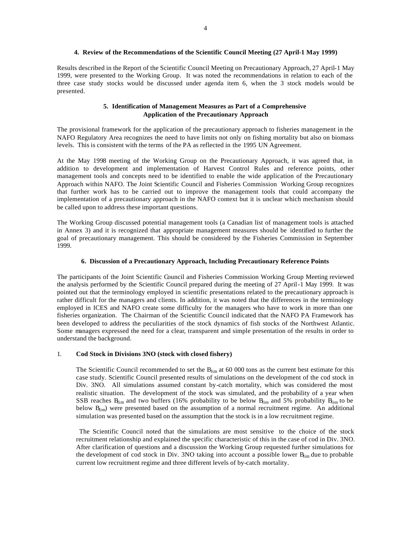### **4. Review of the Recommendations of the Scientific Council Meeting (27 April-1 May 1999)**

Results described in the Report of the Scientific Council Meeting on Precautionary Approach, 27 April-1 May 1999, were presented to the Working Group. It was noted the recommendations in relation to each of the three case study stocks would be discussed under agenda item 6, when the 3 stock models would be presented.

### **5. Identification of Management Measures as Part of a Comprehensive Application of the Precautionary Approach**

The provisional framework for the application of the precautionary approach to fisheries management in the NAFO Regulatory Area recognizes the need to have limits not only on fishing mortality but also on biomass levels. This is consistent with the terms of the PA as reflected in the 1995 UN Agreement.

At the May 1998 meeting of the Working Group on the Precautionary Approach, it was agreed that, in addition to development and implementation of Harvest Control Rules and reference points, other management tools and concepts need to be identified to enable the wide application of the Precautionary Approach within NAFO. The Joint Scientific Council and Fisheries Commission Working Group recognizes that further work has to be carried out to improve the management tools that could accompany the implementation of a precautionary approach in the NAFO context but it is unclear which mechanism should be called upon to address these important questions.

The Working Group discussed potential management tools (a Canadian list of management tools is attached in Annex 3) and it is recognized that appropriate management measures should be identified to further the goal of precautionary management. This should be considered by the Fisheries Commission in September 1999.

### **6. Discussion of a Precautionary Approach, Including Precautionary Reference Points**

The participants of the Joint Scientific Council and Fisheries Commission Working Group Meeting reviewed the analysis performed by the Scientific Council prepared during the meeting of 27 April-1 May 1999. It was pointed out that the terminology employed in scientific presentations related to the precautionary approach is rather difficult for the managers and clients. In addition, it was noted that the differences in the terminology employed in ICES and NAFO create some difficulty for the managers who have to work in more than one fisheries organization. The Chairman of the Scientific Council indicated that the NAFO PA Framework has been developed to address the peculiarities of the stock dynamics of fish stocks of the Northwest Atlantic. Some managers expressed the need for a clear, transparent and simple presentation of the results in order to understand the background.

### 1. **Cod Stock in Divisions 3NO (stock with closed fishery)**

The Scientific Council recommended to set the B<sub>lim</sub> at 60 000 tons as the current best estimate for this case study. Scientific Council presented results of simulations on the development of the cod stock in Div. 3NO. All simulations assumed constant by-catch mortality, which was considered the most realistic situation. The development of the stock was simulated, and the probability of a year when SSB reaches  $B_{\text{lim}}$  and two buffers (16% probability to be below  $B_{\text{lim}}$  and 5% probability  $B_{\text{lim}}$  to be below  $B_{\text{lim}}$ ) were presented based on the assumption of a normal recruitment regime. An additional simulation was presented based on the assumption that the stock is in a low recruitment regime.

 The Scientific Council noted that the simulations are most sensitive to the choice of the stock recruitment relationship and explained the specific characteristic of this in the case of cod in Div. 3NO. After clarification of questions and a discussion the Working Group requested further simulations for the development of cod stock in Div. 3NO taking into account a possible lower  $B_{lim}$  due to probable current low recruitment regime and three different levels of by-catch mortality.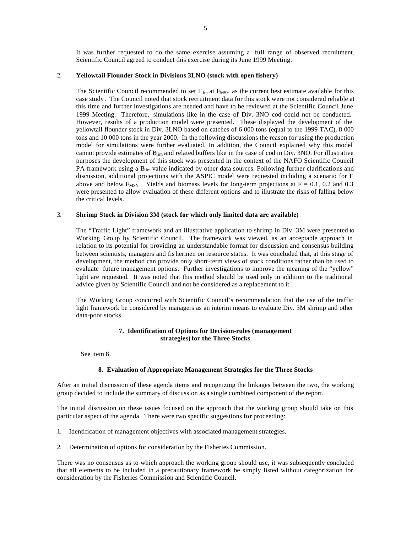It was further requested to do the same exercise assuming a full range of observed recruitment. Scientific Council agreed to conduct this exercise during its June 1999 Meeting.

## 2. **Yellowtail Flounder Stock in Divisions 3LNO (stock with open fishery)**

The Scientific Council recommended to set  $F_{\text{lim}}$  at  $F_{\text{MSY}}$  as the current best estimate available for this case study. The Council noted that stock recruitment data for this stock were not considered reliable at this time and further investigations are needed and have to be reviewed at the Scientific Council June 1999 Meeting. Therefore, simulations like in the case of Div. 3NO cod could not be conducted. However, results of a production model were presented. These displayed the development of the yellowtail flounder stock in Div. 3LNO based on catches of 6 000 tons (equal to the 1999 TAC), 8 000 tons and 10 000 tons in the year 2000. In the following discussions the reason for using the production model for simulations were further evaluated. In addition, the Council explained why this model cannot provide estimates of  $B_{\text{lim}}$  and related buffers like in the case of cod in Div. 3NO. For illustrative purposes the development of this stock was presented in the context of the NAFO Scientific Council PA framework using a  $B_{\text{lim}}$  value indicated by other data sources. Following further clarifications and discussion, additional projections with the ASPIC model were requested including a scenario for F above and below  $F_{\text{MSY}}$ . Yields and biomass levels for long-term projections at  $F = 0.1$ , 0.2 and 0.3 were presented to allow evaluation of these different options and to illustrate the risks of falling below the critical levels.

### 3. **Shrimp Stock in Division 3M (stock for which only limited data are available)**

The "Traffic Light" framework and an illustrative application to shrimp in Div. 3M were presented to Working Group by Scientific Council. The framework was viewed, as an acceptable approach in relation to its potential for providing an understandable format for discussion and consensus building between scientists, managers and fis hermen on resource status. It was concluded that, at this stage of development, the method can provide only short-term views of stock conditions rather than be used to evaluate future management options. Further investigations to improve the meaning of the "yellow" light are requested. It was noted that this method should be used only in addition to the traditional advice given by Scientific Council and not be considered as a replacement to it.

The Working Group concurred with Scientific Council's recommendation that the use of the traffic light framework be considered by managers as an interim means to evaluate Div. 3M shrimp and other data-poor stocks.

### **7. Identification of Options for Decision-rules (management strategies) for the Three Stocks**

See item 8.

### **8. Evaluation of Appropriate Management Strategies for the Three Stocks**

After an initial discussion of these agenda items and recognizing the linkages between the two, the working group decided to include the summary of discussion as a single combined component of the report.

The initial discussion on these issues focused on the approach that the working group should take on this particular aspect of the agenda. There were two specific suggestions for proceeding:

- 1. Identification of management objectives with associated management strategies.
- 2. Determination of options for consideration by the Fisheries Commission.

There was no consensus as to which approach the working group should use, it was subsequently concluded that all elements to be included in a precautionary framework be simply listed without categorization for consideration by the Fisheries Commission and Scientific Council.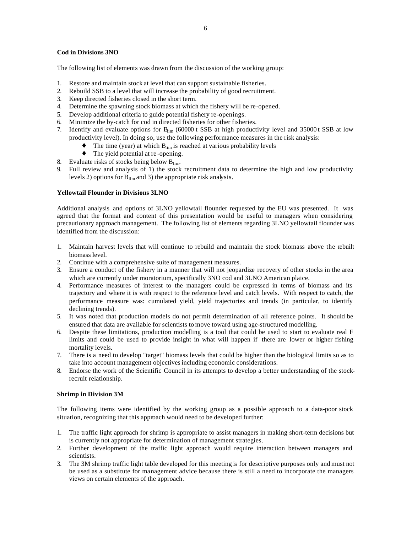### **Cod in Divisions 3NO**

The following list of elements was drawn from the discussion of the working group:

- 1. Restore and maintain stock at level that can support sustainable fisheries.
- 2. Rebuild SSB to a level that will increase the probability of good recruitment.
- 3. Keep directed fisheries closed in the short term.
- 4. Determine the spawning stock biomass at which the fishery will be re-opened.
- 5. Develop additional criteria to guide potential fishery re-openings.
- 6. Minimize the by-catch for cod in directed fisheries for other fisheries.
- 7. Identify and evaluate options for B<sub>lim</sub> (60000 t SSB at high productivity level and 35000 t SSB at low productivity level). In doing so, use the following performance measures in the risk analysis:
	- $\blacklozenge$  The time (year) at which  $B_{\text{lim}}$  is reached at various probability levels
	- ♦ The yield potential at re -opening.
- 8. Evaluate risks of stocks being below B<sub>lim</sub>.
- 9. Full review and analysis of 1) the stock recruitment data to determine the high and low productivity levels 2) options for  $B_{\text{lim}}$  and 3) the appropriate risk analysis.

# **Yellowtail Flounder in Divisions 3LNO**

Additional analysis and options of 3LNO yellowtail flounder requested by the EU was presented. It was agreed that the format and content of this presentation would be useful to managers when considering precautionary approach management. The following list of elements regarding 3LNO yellowtail flounder was identified from the discussion:

- 1. Maintain harvest levels that will continue to rebuild and maintain the stock biomass above the rebuilt biomass level.
- 2. Continue with a comprehensive suite of management measures.
- 3. Ensure a conduct of the fishery in a manner that will not jeopardize recovery of other stocks in the area which are currently under moratorium, specifically 3NO cod and 3LNO American plaice.
- 4. Performance measures of interest to the managers could be expressed in terms of biomass and its trajectory and where it is with respect to the reference level and catch levels. With respect to catch, the performance measure was: cumulated yield, yield trajectories and trends (in particular, to identify declining trends).
- 5. It was noted that production models do not permit determination of all reference points. It should be ensured that data are available for scientists to move toward using age-structured modelling.
- 6. Despite these limitations, production modelling is a tool that could be used to start to evaluate real F limits and could be used to provide insight in what will happen if there are lower or higher fishing mortality levels.
- 7. There is a need to develop "target" biomass levels that could be higher than the biological limits so as to take into account management objectives including economic considerations.
- 8. Endorse the work of the Scientific Council in its attempts to develop a better understanding of the stockrecruit relationship.

### **Shrimp in Division 3M**

The following items were identified by the working group as a possible approach to a data-poor stock situation, recognizing that this approach would need to be developed further:

- 1. The traffic light approach for shrimp is appropriate to assist managers in making short-term decisions but is currently not appropriate for determination of management strategies.
- 2. Further development of the traffic light approach would require interaction between managers and scientists.
- 3. The 3M shrimp traffic light table developed for this meeting is for descriptive purposes only and must not be used as a substitute for management advice because there is still a need to incorporate the managers views on certain elements of the approach.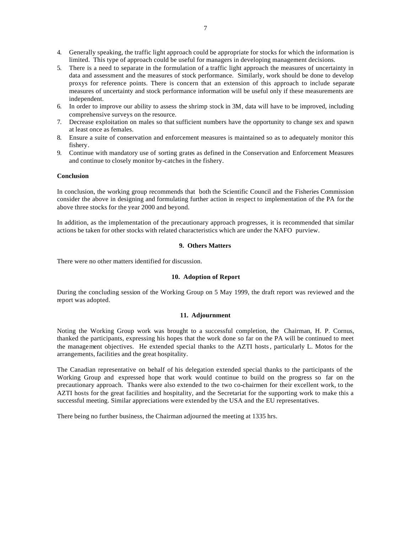- 4. Generally speaking, the traffic light approach could be appropriate for stocks for which the information is limited. This type of approach could be useful for managers in developing management decisions.
- 5. There is a need to separate in the formulation of a traffic light approach the measures of uncertainty in data and assessment and the measures of stock performance. Similarly, work should be done to develop proxys for reference points. There is concern that an extension of this approach to include separate measures of uncertainty and stock performance information will be useful only if these measurements are independent.
- 6. In order to improve our ability to assess the shrimp stock in 3M, data will have to be improved, including comprehensive surveys on the resource.
- 7. Decrease exploitation on males so that sufficient numbers have the opportunity to change sex and spawn at least once as females.
- 8. Ensure a suite of conservation and enforcement measures is maintained so as to adequately monitor this fishery.
- 9. Continue with mandatory use of sorting grates as defined in the Conservation and Enforcement Measures and continue to closely monitor by-catches in the fishery.

### **Conclusion**

In conclusion, the working group recommends that both the Scientific Council and the Fisheries Commission consider the above in designing and formulating further action in respect to implementation of the PA for the above three stocks for the year 2000 and beyond.

In addition, as the implementation of the precautionary approach progresses, it is recommended that similar actions be taken for other stocks with related characteristics which are under the NAFO purview.

### **9. Others Matters**

There were no other matters identified for discussion.

#### **10. Adoption of Report**

During the concluding session of the Working Group on 5 May 1999, the draft report was reviewed and the report was adopted.

### **11. Adjournment**

Noting the Working Group work was brought to a successful completion, the Chairman, H. P. Cornus, thanked the participants, expressing his hopes that the work done so far on the PA will be continued to meet the management objectives. He extended special thanks to the AZTI hosts, particularly L. Motos for the arrangements, facilities and the great hospitality.

The Canadian representative on behalf of his delegation extended special thanks to the participants of the Working Group and expressed hope that work would continue to build on the progress so far on the precautionary approach. Thanks were also extended to the two co-chairmen for their excellent work, to the AZTI hosts for the great facilities and hospitality, and the Secretariat for the supporting work to make this a successful meeting. Similar appreciations were extended by the USA and the EU representatives.

There being no further business, the Chairman adjourned the meeting at 1335 hrs.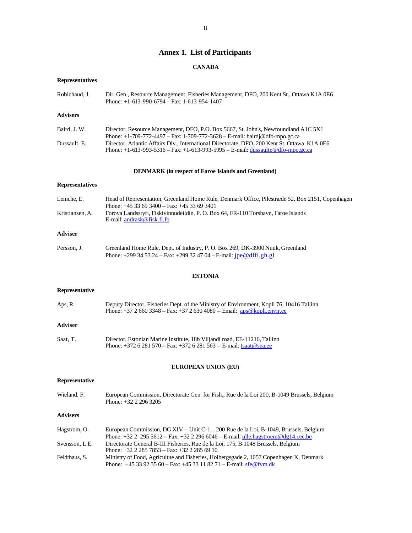# **Annex 1. List of Participants**

# **CANADA**

# **Representatives**

| Robichaud, J.          | Dir. Gen., Resource Management, Fisheries Management, DFO, 200 Kent St., Ottawa K1A 0E6<br>Phone: $+1-613-990-6794$ - Fax: 1-613-954-1407                                                                                                                        |
|------------------------|------------------------------------------------------------------------------------------------------------------------------------------------------------------------------------------------------------------------------------------------------------------|
| <b>Advisers</b>        |                                                                                                                                                                                                                                                                  |
| Baird, J. W.           | Director, Resource Management, DFO, P.O. Box 5667, St. John's, Newfoundland A1C 5X1                                                                                                                                                                              |
| Dussault, E.           | Phone: +1-709-772-4497 - Fax: 1-709-772-3628 - E-mail: bairdj@dfo-mpo.gc.ca<br>Director, Atlantic Affairs Div., International Directorate, DFO, 200 Kent St. Ottawa K1A 0E6<br>Phone: $+1-613-993-5316 - Fax: +1-613-993-5995 - E-mail: dussaulte@dfo-mpo.gc.ca$ |
|                        | <b>DENMARK</b> (in respect of Faroe Islands and Greenland)                                                                                                                                                                                                       |
| <b>Representatives</b> |                                                                                                                                                                                                                                                                  |
| Lemche, E.             | Head of Representation, Greenland Home Rule, Denmark Office, Pilestræde 52, Box 2151, Copenhagen<br>Phone: $+4533693400 - Fax$ : $+4533693401$                                                                                                                   |
| Kristiansen, A.        | Foroya Landsstyri, Fiskivinnudeildin, P. O. Box 64, FR-110 Torshavn, Faroe Islands<br>E-mail: andrask@fisk.fl.fo                                                                                                                                                 |
| <b>Adviser</b>         |                                                                                                                                                                                                                                                                  |
| Persson, J.            | Greenland Home Rule, Dept. of Industry, P. O. Box 269, DK-3900 Nuuk, Greenland<br>Phone: +299 34 53 24 – Fax: +299 32 47 04 – E-mail: $\frac{1}{1}$ pe @ dffl.gh.gl                                                                                              |
|                        | <b>ESTONIA</b>                                                                                                                                                                                                                                                   |
| <b>Representative</b>  |                                                                                                                                                                                                                                                                  |
| Aps, R.                | Deputy Director, Fisheries Dept. of the Ministry of Environment, Kopli 76, 10416 Tallinn<br>Phone: $+3726603348 - Fax: +3726304080 - Email: \frac{aps@kopli.envir.ee}{apls@kopli.envir.ee}$                                                                      |
| <b>Adviser</b>         |                                                                                                                                                                                                                                                                  |
| Saat, T.               | Director, Estonian Marine Institute, 18b Viljandi road, EE-11216, Tallinn<br>Phone: $+372$ 6 281 570 – Fax: $+372$ 6 281 563 – E-mail: tsaat@sea.ee                                                                                                              |
|                        | <b>EUROPEAN UNION (EU)</b>                                                                                                                                                                                                                                       |
| <b>Representative</b>  |                                                                                                                                                                                                                                                                  |
| Wieland, F.            | European Commission, Directorate Gen. for Fish., Rue de la Loi 200, B-1049 Brussels, Belgium<br>Phone: +32 2 296 3205                                                                                                                                            |
| <b>Advisers</b>        |                                                                                                                                                                                                                                                                  |
| Hagstrom, O.           | European Commission, DG XIV - Unit C-1, , 200 Rue de la Loi, B-1049, Brussels, Belgium                                                                                                                                                                           |
| Svensson, L.E.         | Phone: $+32$ 2 295 5612 – Fax: $+32$ 2 296 6046 – E-mail: ulle.hagstroem@dg14.cec.be<br>Directorate General B-III Fisheries, Rue de la Loi, 175, B-1048 Brussels, Belgium<br>Phone: $+32$ 2 285 7853 – Fax: $+32$ 2 285 69 10                                    |
| Feldthaus, S.          | Ministry of Food, Agricultue and Fisheries, Holbergsgade 2, 1057 Copenhagen K, Denmark<br>Phone: $+4533923560 - Fax$ : $+4533118271 - E$ -mail: sfe@fvm.dk                                                                                                       |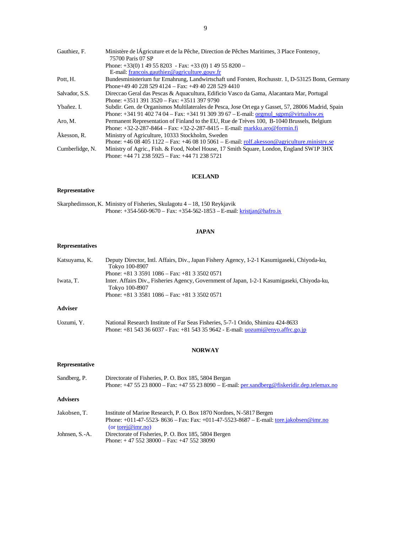| Gauthiez, F.    | Ministère de l'Agricuture et de la Pêche, Direction de Pêches Maritimes, 3 Place Fontenoy,<br>75700 Paris 07 SP |
|-----------------|-----------------------------------------------------------------------------------------------------------------|
|                 | Phone: $+33(0)$ 1 49 55 8203 - Fax: $+33(0)$ 1 49 55 8200 -                                                     |
|                 | E-mail: francois.gauthiez@agriculture.gouv.fr                                                                   |
| Pott, H.        | Bundesministerium fur Ernahrung, Landwirtschaft und Forsten, Rochusstr. 1, D-53125 Bonn, Germany                |
|                 | Phone+49 40 228 529 4124 – Fax: +49 40 228 529 4410                                                             |
| Salvador, S.S.  | Direccao Geral das Pescas & Aquacultura, Edificio Vasco da Gama, Alacantara Mar, Portugal                       |
|                 | Phone: $+3511$ 391 3520 – Fax: $+3511$ 397 9790                                                                 |
| Ybañez. I.      | Subdir. Gen. de Organismos Multilaterales de Pesca, Jose Ort ega y Gasset, 57, 28006 Madrid, Spain              |
|                 | Phone: $+341914027404 - Fax$ : $+341913093967 - E-mail$ : orgmulsgpm@virtualsw.es                               |
| Aro, M.         | Permanent Representation of Finland to the EU, Rue de Trèves 100, B-1040 Brussels, Belgium                      |
|                 | Phone: $+32-2-87-8464$ – Fax: $+32-2-287-8415$ – E-mail: markku.aro@formin.fi                                   |
| Åkesson, R.     | Ministry of Agriculture, 10333 Stockholm, Sweden                                                                |
|                 | Phone: $+46084051122 - Fax$ : $+4608105061 - E$ -mail: rolf.akesson@agriculture.ministry.se                     |
| Cumberlidge, N. | Ministry of Agric., Fish. & Food, Nobel House, 17 Smith Square, London, England SW1P 3HX                        |
|                 | Phone: $+44$ 71 238 5925 – Fax: $+44$ 71 238 5721                                                               |

### **ICELAND**

## **Representative**

Skarphedinsson, K. Ministry of Fisheries, Skulagotu 4 – 18, 150 Reykjavik Phone: +354-560-9670 – Fax: +354-562-1853 – E-mail: kristjan@hafro.is

### **JAPAN**

## **Representatives**

| Katsuyama, K.  | Deputy Director, Intl. Affairs, Div., Japan Fishery Agency, 1-2-1 Kasumigaseki, Chiyoda-ku,<br>Tokyo 100-8907                                                                 |
|----------------|-------------------------------------------------------------------------------------------------------------------------------------------------------------------------------|
|                | Phone: $+81$ 3 3591 1086 – Fax: $+81$ 3 3502 0571                                                                                                                             |
| Iwata, T.      | Inter. Affairs Div., Fisheries Agency, Government of Japan, 1-2-1 Kasumigaseki, Chiyoda-ku,<br>Tokyo 100-8907                                                                 |
|                | Phone: $+81$ 3 3581 1086 – Fax: $+81$ 3 3502 0571                                                                                                                             |
| <b>Adviser</b> |                                                                                                                                                                               |
| Uozumi. Y.     | National Research Institute of Far Seas Fisheries, 5-7-1 Orido, Shimizu 424-8633<br>Phone: $+81\,543\,36\,6037$ - Fax: $+81\,543\,35\,9642$ - E-mail: uozumi@enyo.affrc.go.jp |

### **NORWAY**

## **Representative**

| Sandberg, P.   | Directorate of Fisheries, P. O. Box 185, 5804 Bergan<br>Phone: $+4755238000 - Fax$ : $+4755238090 - E$ -mail: per.sandberg@fiskeridir.dep.telemax.no                                     |
|----------------|------------------------------------------------------------------------------------------------------------------------------------------------------------------------------------------|
| Advisers       |                                                                                                                                                                                          |
| Jakobsen. T.   | Institute of Marine Research, P. O. Box 1870 Nordnes, N-5817 Bergen<br>Phone: +011-47-5523-8636 - Fax: Fax: +011-47-5523-8687 - E-mail: tore.jakobsen@imr.no<br>(or tore $\omega$ im no) |
| Johnsen, S.-A. | Directorate of Fisheries, P. O. Box 185, 5804 Bergen<br>Phone: $+4755238000 - Fax$ : $+4755238090$                                                                                       |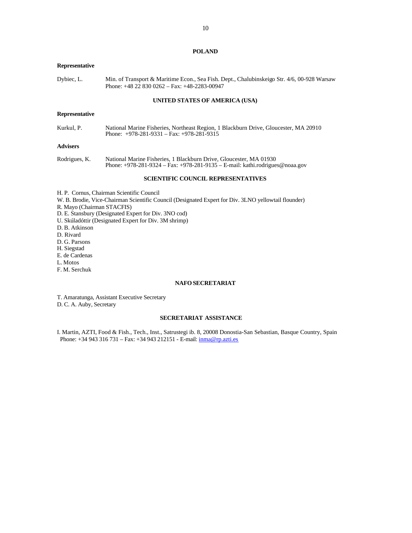#### **POLAND**

#### **Representative**

Dybiec, L. Min. of Transport & Maritime Econ., Sea Fish. Dept., Chalubinskeigo Str. 4/6, 00-928 Warsaw Phone: +48 22 830 0262 – Fax: +48-2283-00947

# **UNITED STATES OF AMERICA (USA)**

#### **Representative**

Kurkul, P. National Marine Fisheries, Northeast Region, 1 Blackburn Drive, Gloucester, MA 20910 Phone: +978-281-9331 – Fax: +978-281-9315

### **Advisers**

Rodrigues, K. National Marine Fisheries, 1 Blackburn Drive, Gloucester, MA 01930 Phone: +978-281-9324 – Fax: +978-281-9135 – E-mail: kathi.rodrigues@noaa.gov

### **SCIENTIFIC COUNCIL REPRESENTATIVES**

- H. P. Cornus, Chairman Scientific Council
- W. B. Brodie, Vice-Chairman Scientific Council (Designated Expert for Div. 3LNO yellowtail flounder)

R. Mayo (Chairman STACFIS)

- D. E. Stansbury (Designated Expert for Div. 3NO cod)
- U. Skúladóttir (Designated Expert for Div. 3M shrimp)
- D. B. Atkinson
- D. Rivard
- D. G. Parsons
- H. Siegstad
- E. de Cardenas
- L. Motos
- F. M. Serchuk

### **NAFO SECRETARIAT**

T. Amaratunga, Assistant Executive Secretary D. C. A. Auby, Secretary

### **SECRETARIAT ASSISTANCE**

I. Martin, AZTI, Food & Fish., Tech., Inst., Satrustegi ib. 8, 20008 Donostia-San Sebastian, Basque Country, Spain Phone: +34 943 316 731 – Fax: +34 943 212151 - E-mail: inma@rp.azti.es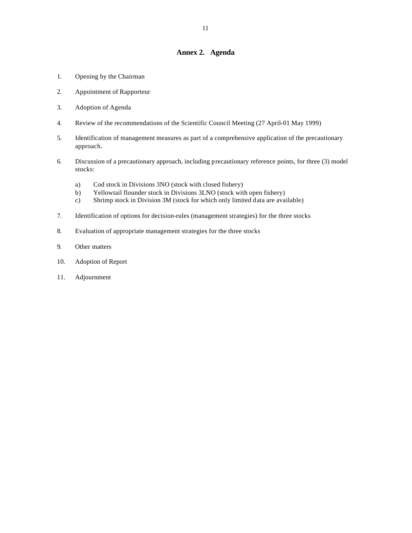# **Annex 2. Agenda**

- 1. Opening by the Chairman
- 2. Appointment of Rapporteur
- 3. Adoption of Agenda
- 4. Review of the recommendations of the Scientific Council Meeting (27 April-01 May 1999)
- 5. Identification of management measures as part of a comprehensive application of the precautionary approach.
- 6. Discussion of a precautionary approach, including precautionary reference points, for three (3) model stocks:
	- a) Cod stock in Divisions 3NO (stock with closed fishery)
	- b) Yellowtail flounder stock in Divisions 3LNO (stock with open fishery)
	- c) Shrimp stock in Division 3M (stock for which only limited data are available)
- 7. Identification of options for decision-rules (management strategies) for the three stocks
- 8. Evaluation of appropriate management strategies for the three stocks
- 9. Other matters
- 10. Adoption of Report
- 11. Adjournment